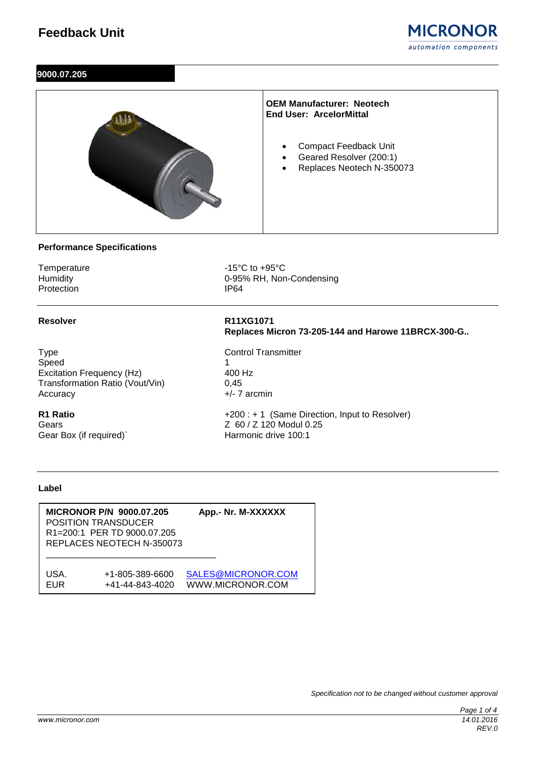

# **9000.07.205**



# **Performance Specifications**

Protection

Temperature 15°C to +95°C<br>
Humidity 1995% RH, Nor 0-95% RH, Non-Condensing<br>IP64

Type Control Transmitter Speed 1<br>
Excitation Frequency (Hz) 100 Hz Excitation Frequency (Hz) 400<br>Transformation Ratio (Vout/Vin) 6.45 Transformation Ratio (Vout/Vin) Accuracy +/- 7 arcmin

Gear Box (if required)`

**Resolver R11XG1071 Replaces Micron 73-205-144 and Harowe 11BRCX-300-G..**

**R1 Ratio**  $+200 : + 1$  (Same Direction, Input to Resolver)<br>Gears  $\begin{array}{c} 260 / 2120 \text{ Modul } 0.25 \end{array}$ Z 60 / Z 120 Modul 0.25<br>Harmonic drive 100:1

#### **Label**

**MICRONOR P/N 9000.07.205 App.- Nr. M-XXXXXX** POSITION TRANSDUCER R1=200:1 PER TD 9000.07.205 REPLACES NEOTECH N-350073 \_\_\_\_\_\_\_\_\_\_\_\_\_\_\_\_\_\_\_\_\_\_\_\_\_\_\_\_\_\_\_\_\_\_ USA. +1-805-389-6600 [SALES@MICRONOR.COM](mailto:SALES@MICRONOR.COM) EUR +41-44-843-4020 WWW.MICRONOR.COM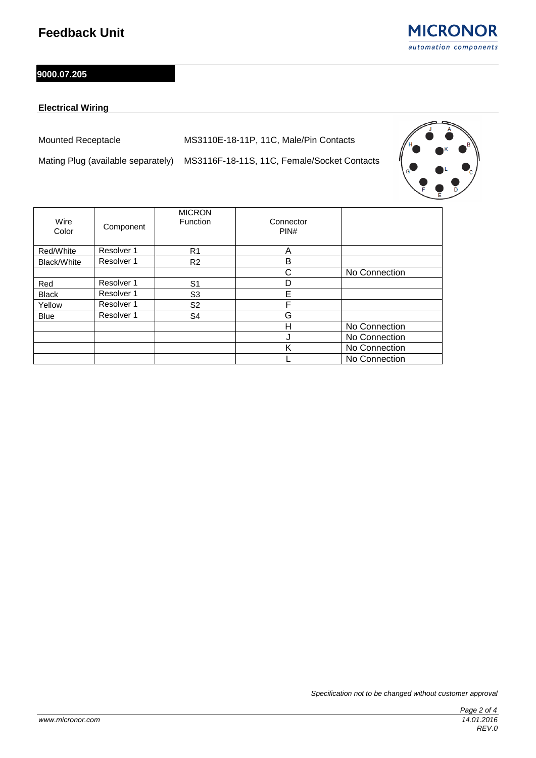**MICRONOR** automation components

# **9000.07.205**

# **Electrical Wiring**

Mounted Receptacle MS3110E-18-11P, 11C, Male/Pin Contacts

Mating Plug (available separately) MS3116F-18-11S, 11C, Female/Socket Contacts



| Wire<br>Color | Component  | <b>MICRON</b><br>Function | Connector<br>PIN# |               |
|---------------|------------|---------------------------|-------------------|---------------|
| Red/White     | Resolver 1 | R <sub>1</sub>            | A                 |               |
| Black/White   | Resolver 1 | R <sub>2</sub>            | B                 |               |
|               |            |                           | С                 | No Connection |
| Red           | Resolver 1 | S <sub>1</sub>            | D                 |               |
| <b>Black</b>  | Resolver 1 | S <sub>3</sub>            | E                 |               |
| Yellow        | Resolver 1 | S <sub>2</sub>            | F                 |               |
| <b>Blue</b>   | Resolver 1 | S4                        | G                 |               |
|               |            |                           | Н                 | No Connection |
|               |            |                           | J                 | No Connection |
|               |            |                           | Κ                 | No Connection |
|               |            |                           |                   | No Connection |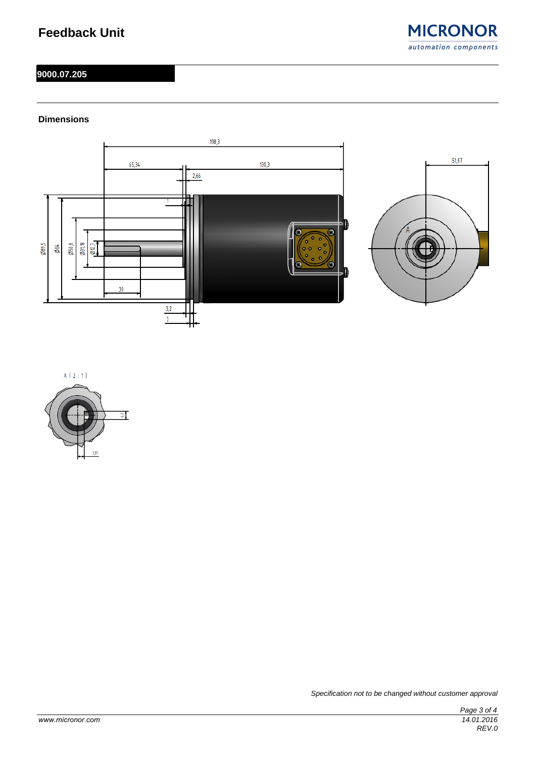# **Feedback Unit**



### **9000.07.205**

### **Dimensions**